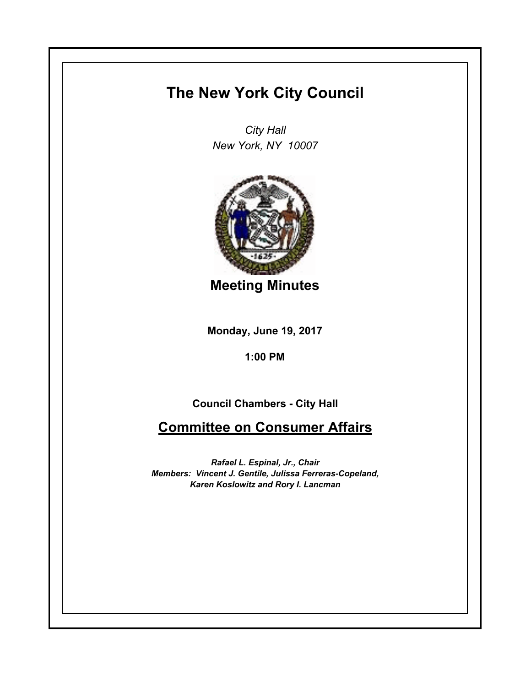## **The New York City Council**

*City Hall New York, NY 10007*



**Meeting Minutes**

**Monday, June 19, 2017**

**1:00 PM**

**Council Chambers - City Hall**

**Committee on Consumer Affairs**

*Rafael L. Espinal, Jr., Chair Members: Vincent J. Gentile, Julissa Ferreras-Copeland, Karen Koslowitz and Rory I. Lancman*